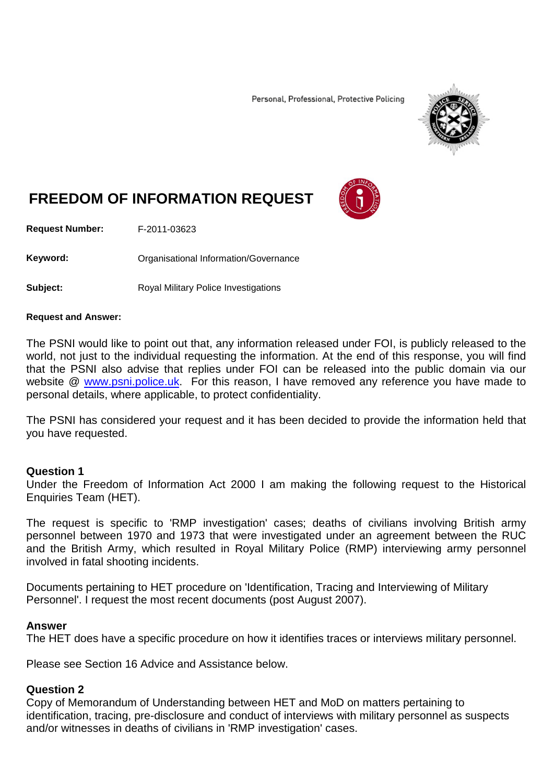Personal, Professional, Protective Policing



# **FREEDOM OF INFORMATION REQUEST**

**Request Number:** F-2011-03623

Keyword: **Communistry Communists** Organisational Information/Governance

**Subject:** Royal Military Police Investigations

#### **Request and Answer:**

The PSNI would like to point out that, any information released under FOI, is publicly released to the world, not just to the individual requesting the information. At the end of this response, you will find that the PSNI also advise that replies under FOI can be released into the public domain via our website @ [www.psni.police.uk.](http://www.psni.police.uk/) For this reason, I have removed any reference you have made to personal details, where applicable, to protect confidentiality.

The PSNI has considered your request and it has been decided to provide the information held that you have requested.

#### **Question 1**

Under the Freedom of Information Act 2000 I am making the following request to the Historical Enquiries Team (HET).

The request is specific to 'RMP investigation' cases; deaths of civilians involving British army personnel between 1970 and 1973 that were investigated under an agreement between the RUC and the British Army, which resulted in Royal Military Police (RMP) interviewing army personnel involved in fatal shooting incidents.

Documents pertaining to HET procedure on 'Identification, Tracing and Interviewing of Military Personnel'. I request the most recent documents (post August 2007).

#### **Answer**

The HET does have a specific procedure on how it identifies traces or interviews military personnel.

Please see Section 16 Advice and Assistance below.

#### **Question 2**

Copy of Memorandum of Understanding between HET and MoD on matters pertaining to identification, tracing, pre-disclosure and conduct of interviews with military personnel as suspects and/or witnesses in deaths of civilians in 'RMP investigation' cases.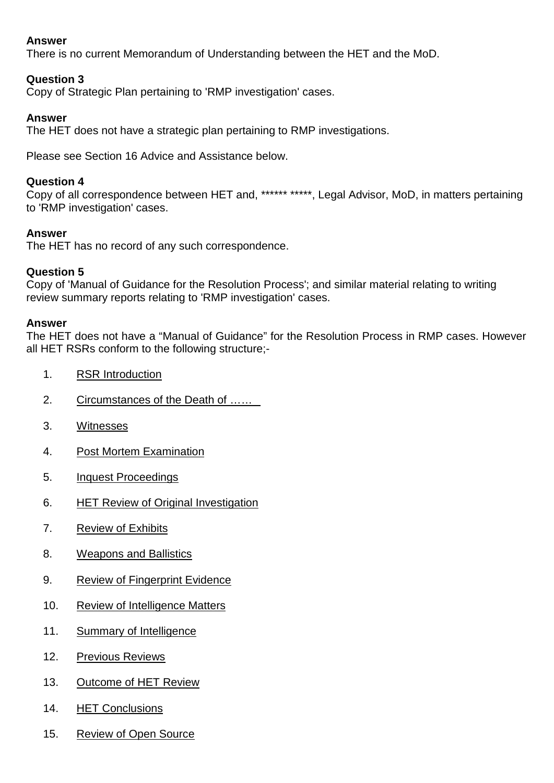# **Answer**

There is no current Memorandum of Understanding between the HET and the MoD.

# **Question 3**

Copy of Strategic Plan pertaining to 'RMP investigation' cases.

## **Answer**

The HET does not have a strategic plan pertaining to RMP investigations.

Please see Section 16 Advice and Assistance below.

## **Question 4**

Copy of all correspondence between HET and, \*\*\*\*\*\* \*\*\*\*\*, Legal Advisor, MoD, in matters pertaining to 'RMP investigation' cases.

## **Answer**

The HET has no record of any such correspondence.

#### **Question 5**

Copy of 'Manual of Guidance for the Resolution Process'; and similar material relating to writing review summary reports relating to 'RMP investigation' cases.

#### **Answer**

The HET does not have a "Manual of Guidance" for the Resolution Process in RMP cases. However all HET RSRs conform to the following structure;-

- 1. RSR Introduction
- 2. Circumstances of the Death of ……
- 3. Witnesses
- 4. Post Mortem Examination
- 5. Inquest Proceedings
- 6. HET Review of Original Investigation
- 7. Review of Exhibits
- 8. Weapons and Ballistics
- 9. Review of Fingerprint Evidence
- 10. Review of Intelligence Matters
- 11. Summary of Intelligence
- 12. Previous Reviews
- 13. Outcome of HET Review
- 14. HET Conclusions
- 15. Review of Open Source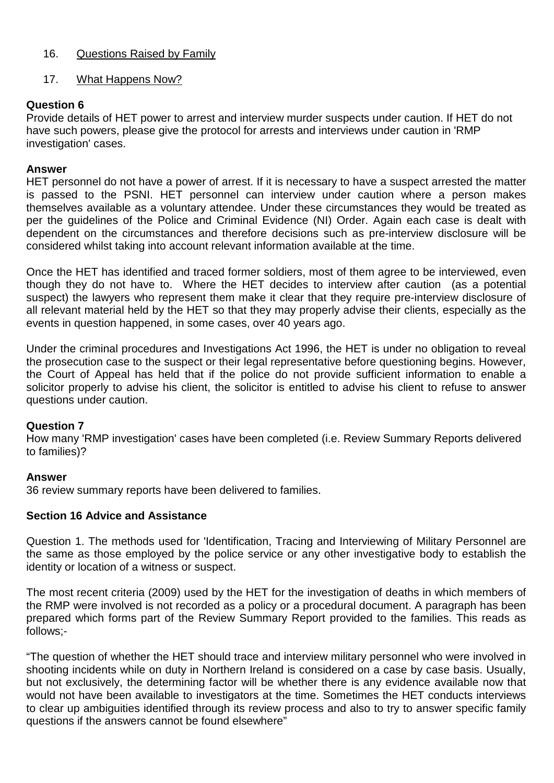## 16. Questions Raised by Family

## 17. What Happens Now?

# **Question 6**

Provide details of HET power to arrest and interview murder suspects under caution. If HET do not have such powers, please give the protocol for arrests and interviews under caution in 'RMP investigation' cases.

#### **Answer**

HET personnel do not have a power of arrest. If it is necessary to have a suspect arrested the matter is passed to the PSNI. HET personnel can interview under caution where a person makes themselves available as a voluntary attendee. Under these circumstances they would be treated as per the guidelines of the Police and Criminal Evidence (NI) Order. Again each case is dealt with dependent on the circumstances and therefore decisions such as pre-interview disclosure will be considered whilst taking into account relevant information available at the time.

Once the HET has identified and traced former soldiers, most of them agree to be interviewed, even though they do not have to. Where the HET decides to interview after caution (as a potential suspect) the lawyers who represent them make it clear that they require pre-interview disclosure of all relevant material held by the HET so that they may properly advise their clients, especially as the events in question happened, in some cases, over 40 years ago.

Under the criminal procedures and Investigations Act 1996, the HET is under no obligation to reveal the prosecution case to the suspect or their legal representative before questioning begins. However, the Court of Appeal has held that if the police do not provide sufficient information to enable a solicitor properly to advise his client, the solicitor is entitled to advise his client to refuse to answer questions under caution.

#### **Question 7**

How many 'RMP investigation' cases have been completed (i.e. Review Summary Reports delivered to families)?

#### **Answer**

36 review summary reports have been delivered to families.

#### **Section 16 Advice and Assistance**

Question 1. The methods used for 'Identification, Tracing and Interviewing of Military Personnel are the same as those employed by the police service or any other investigative body to establish the identity or location of a witness or suspect.

The most recent criteria (2009) used by the HET for the investigation of deaths in which members of the RMP were involved is not recorded as a policy or a procedural document. A paragraph has been prepared which forms part of the Review Summary Report provided to the families. This reads as follows;-

"The question of whether the HET should trace and interview military personnel who were involved in shooting incidents while on duty in Northern Ireland is considered on a case by case basis. Usually, but not exclusively, the determining factor will be whether there is any evidence available now that would not have been available to investigators at the time. Sometimes the HET conducts interviews to clear up ambiguities identified through its review process and also to try to answer specific family questions if the answers cannot be found elsewhere"